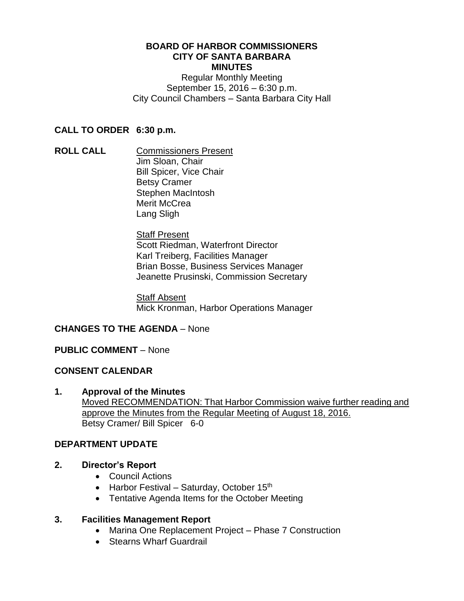#### **BOARD OF HARBOR COMMISSIONERS CITY OF SANTA BARBARA MINUTES**

Regular Monthly Meeting September 15, 2016 – 6:30 p.m. City Council Chambers – Santa Barbara City Hall

## **CALL TO ORDER 6:30 p.m.**

**ROLL CALL** Commissioners Present Jim Sloan, Chair Bill Spicer, Vice Chair Betsy Cramer Stephen MacIntosh Merit McCrea Lang Sligh

> Staff Present Scott Riedman, Waterfront Director Karl Treiberg, Facilities Manager Brian Bosse, Business Services Manager Jeanette Prusinski, Commission Secretary

Staff Absent Mick Kronman, Harbor Operations Manager

## **CHANGES TO THE AGENDA** – None

## **PUBLIC COMMENT** – None

## **CONSENT CALENDAR**

**1. Approval of the Minutes** Moved RECOMMENDATION: That Harbor Commission waive further reading and approve the Minutes from the Regular Meeting of August 18, 2016. Betsy Cramer/ Bill Spicer 6-0

## **DEPARTMENT UPDATE**

- **2. Director's Report**
	- Council Actions
	- Harbor Festival Saturday, October  $15<sup>th</sup>$
	- Tentative Agenda Items for the October Meeting

## **3. Facilities Management Report**

- Marina One Replacement Project Phase 7 Construction
- Stearns Wharf Guardrail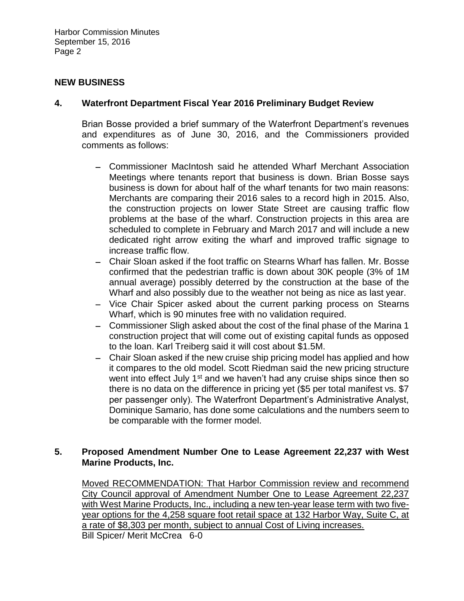### **NEW BUSINESS**

## **4. Waterfront Department Fiscal Year 2016 Preliminary Budget Review**

Brian Bosse provided a brief summary of the Waterfront Department's revenues and expenditures as of June 30, 2016, and the Commissioners provided comments as follows:

- Commissioner MacIntosh said he attended Wharf Merchant Association Meetings where tenants report that business is down. Brian Bosse says business is down for about half of the wharf tenants for two main reasons: Merchants are comparing their 2016 sales to a record high in 2015. Also, the construction projects on lower State Street are causing traffic flow problems at the base of the wharf. Construction projects in this area are scheduled to complete in February and March 2017 and will include a new dedicated right arrow exiting the wharf and improved traffic signage to increase traffic flow.
- Chair Sloan asked if the foot traffic on Stearns Wharf has fallen. Mr. Bosse confirmed that the pedestrian traffic is down about 30K people (3% of 1M annual average) possibly deterred by the construction at the base of the Wharf and also possibly due to the weather not being as nice as last year.
- Vice Chair Spicer asked about the current parking process on Stearns Wharf, which is 90 minutes free with no validation required.
- Commissioner Sligh asked about the cost of the final phase of the Marina 1 construction project that will come out of existing capital funds as opposed to the loan. Karl Treiberg said it will cost about \$1.5M.
- Chair Sloan asked if the new cruise ship pricing model has applied and how it compares to the old model. Scott Riedman said the new pricing structure went into effect July 1<sup>st</sup> and we haven't had any cruise ships since then so there is no data on the difference in pricing yet (\$5 per total manifest vs. \$7 per passenger only). The Waterfront Department's Administrative Analyst, Dominique Samario, has done some calculations and the numbers seem to be comparable with the former model.

## **5. Proposed Amendment Number One to Lease Agreement 22,237 with West Marine Products, Inc.**

Moved RECOMMENDATION: That Harbor Commission review and recommend City Council approval of Amendment Number One to Lease Agreement 22,237 with West Marine Products, Inc., including a new ten-year lease term with two fiveyear options for the 4,258 square foot retail space at 132 Harbor Way, Suite C, at a rate of \$8,303 per month, subject to annual Cost of Living increases. Bill Spicer/ Merit McCrea 6-0